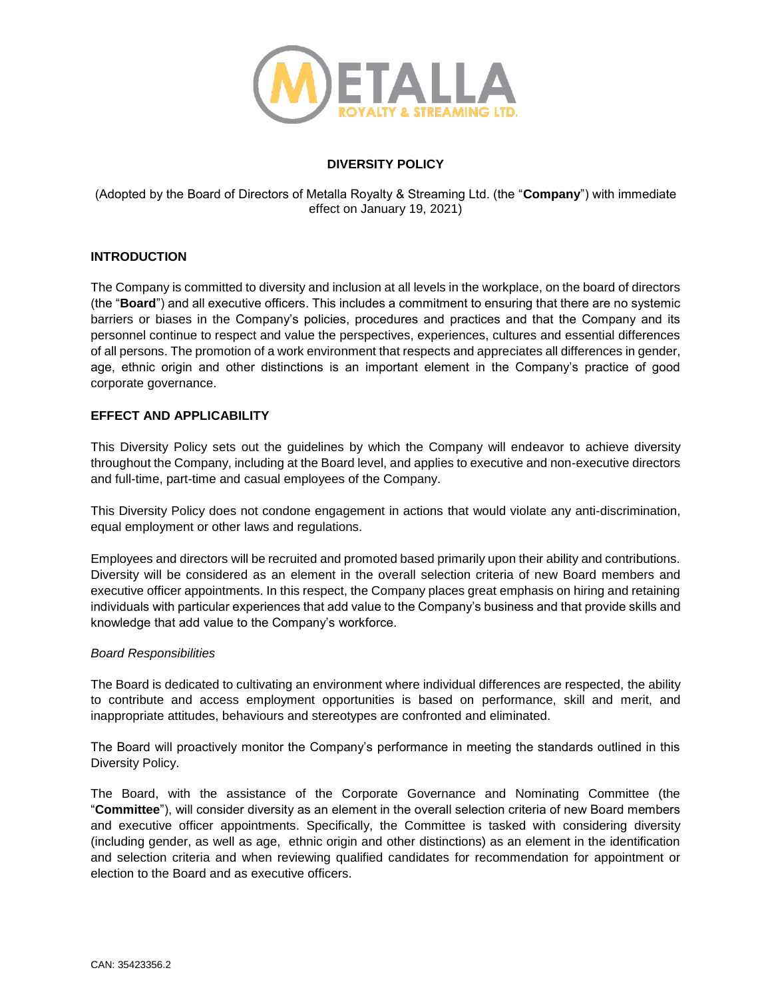

# **DIVERSITY POLICY**

(Adopted by the Board of Directors of Metalla Royalty & Streaming Ltd. (the "**Company**") with immediate effect on January 19, 2021)

## **INTRODUCTION**

The Company is committed to diversity and inclusion at all levels in the workplace, on the board of directors (the "**Board**") and all executive officers. This includes a commitment to ensuring that there are no systemic barriers or biases in the Company's policies, procedures and practices and that the Company and its personnel continue to respect and value the perspectives, experiences, cultures and essential differences of all persons. The promotion of a work environment that respects and appreciates all differences in gender, age, ethnic origin and other distinctions is an important element in the Company's practice of good corporate governance.

## **EFFECT AND APPLICABILITY**

This Diversity Policy sets out the guidelines by which the Company will endeavor to achieve diversity throughout the Company, including at the Board level, and applies to executive and non-executive directors and full-time, part-time and casual employees of the Company.

This Diversity Policy does not condone engagement in actions that would violate any anti-discrimination, equal employment or other laws and regulations.

Employees and directors will be recruited and promoted based primarily upon their ability and contributions. Diversity will be considered as an element in the overall selection criteria of new Board members and executive officer appointments. In this respect, the Company places great emphasis on hiring and retaining individuals with particular experiences that add value to the Company's business and that provide skills and knowledge that add value to the Company's workforce.

### *Board Responsibilities*

The Board is dedicated to cultivating an environment where individual differences are respected, the ability to contribute and access employment opportunities is based on performance, skill and merit, and inappropriate attitudes, behaviours and stereotypes are confronted and eliminated.

The Board will proactively monitor the Company's performance in meeting the standards outlined in this Diversity Policy.

The Board, with the assistance of the Corporate Governance and Nominating Committee (the "**Committee**"), will consider diversity as an element in the overall selection criteria of new Board members and executive officer appointments. Specifically, the Committee is tasked with considering diversity (including gender, as well as age, ethnic origin and other distinctions) as an element in the identification and selection criteria and when reviewing qualified candidates for recommendation for appointment or election to the Board and as executive officers.